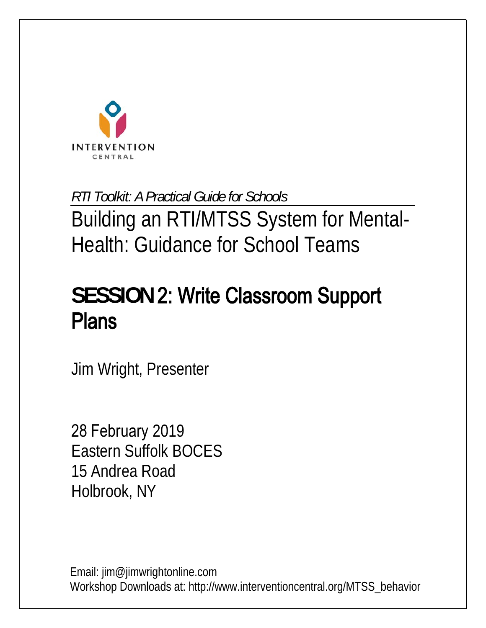

*RTI Toolkit: A Practical Guide for Schools* 

Building an RTI/MTSS System for Mental-Health: Guidance for School Teams

# **SESSION** 2: Write Classroom Support Plans

Jim Wright, Presenter

28 February 2019 Eastern Suffolk BOCES 15 Andrea Road Holbrook, NY

Email: jim@jimwrightonline.com Workshop Downloads at: http://www.interventioncentral.org/MTSS\_behavior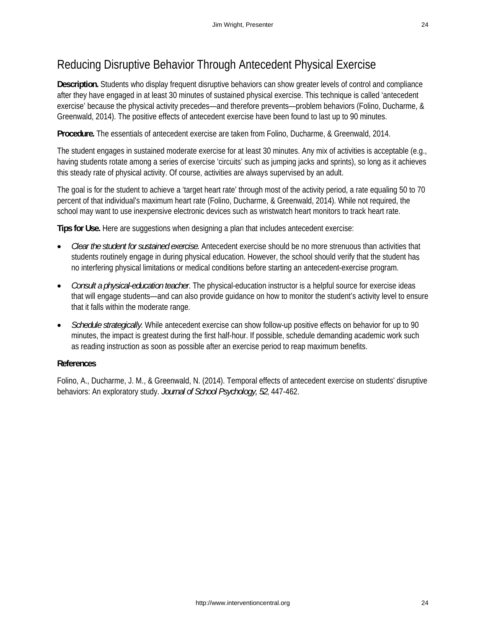### Reducing Disruptive Behavior Through Antecedent Physical Exercise

**Description.** Students who display frequent disruptive behaviors can show greater levels of control and compliance after they have engaged in at least 30 minutes of sustained physical exercise. This technique is called 'antecedent exercise' because the physical activity precedes—and therefore prevents—problem behaviors (Folino, Ducharme, & Greenwald, 2014). The positive effects of antecedent exercise have been found to last up to 90 minutes.

**Procedure.** The essentials of antecedent exercise are taken from Folino, Ducharme, & Greenwald, 2014.

The student engages in sustained moderate exercise for at least 30 minutes. Any mix of activities is acceptable (e.g., having students rotate among a series of exercise 'circuits' such as jumping jacks and sprints), so long as it achieves this steady rate of physical activity. Of course, activities are always supervised by an adult.

The goal is for the student to achieve a 'target heart rate' through most of the activity period, a rate equaling 50 to 70 percent of that individual's maximum heart rate (Folino, Ducharme, & Greenwald, 2014). While not required, the school may want to use inexpensive electronic devices such as wristwatch heart monitors to track heart rate.

**Tips for Use.** Here are suggestions when designing a plan that includes antecedent exercise:

- *Clear the student for sustained exercise.* Antecedent exercise should be no more strenuous than activities that students routinely engage in during physical education. However, the school should verify that the student has no interfering physical limitations or medical conditions before starting an antecedent-exercise program.
- *Consult a physical-education teacher*. The physical-education instructor is a helpful source for exercise ideas that will engage students—and can also provide guidance on how to monitor the student's activity level to ensure that it falls within the moderate range.
- *Schedule strategically*. While antecedent exercise can show follow-up positive effects on behavior for up to 90 minutes, the impact is greatest during the first half-hour. If possible, schedule demanding academic work such as reading instruction as soon as possible after an exercise period to reap maximum benefits.

#### **References**

Folino, A., Ducharme, J. M., & Greenwald, N. (2014). Temporal effects of antecedent exercise on students' disruptive behaviors: An exploratory study. *Journal of School Psychology, 52*, 447-462.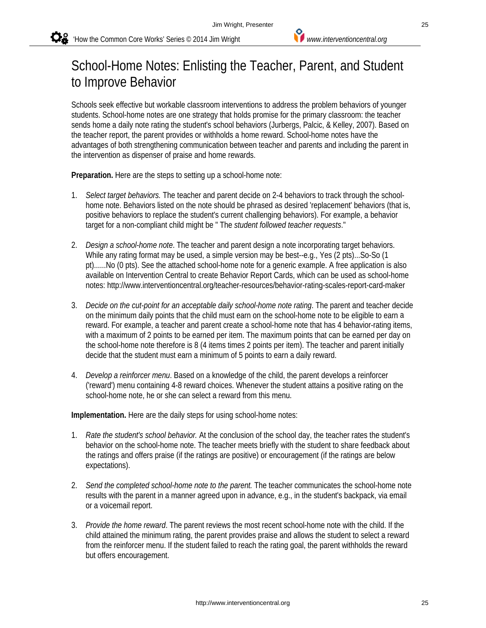## School-Home Notes: Enlisting the Teacher, Parent, and Student to Improve Behavior

Schools seek effective but workable classroom interventions to address the problem behaviors of younger students. School-home notes are one strategy that holds promise for the primary classroom: the teacher sends home a daily note rating the student's school behaviors (Jurbergs, Palcic, & Kelley, 2007). Based on the teacher report, the parent provides or withholds a home reward. School-home notes have the advantages of both strengthening communication between teacher and parents and including the parent in the intervention as dispenser of praise and home rewards.

**Preparation.** Here are the steps to setting up a school-home note:

- 1. *Select target behaviors.* The teacher and parent decide on 2-4 behaviors to track through the schoolhome note. Behaviors listed on the note should be phrased as desired 'replacement' behaviors (that is, positive behaviors to replace the student's current challenging behaviors). For example, a behavior target for a non-compliant child might be " The *student followed teacher requests*."
- 2. *Design a school-home note*. The teacher and parent design a note incorporating target behaviors. While any rating format may be used, a simple version may be best--e.g., Yes (2 pts)...So-So (1 pt)......No (0 pts). See the attached school-home note for a generic example. A free application is also available on Intervention Central to create Behavior Report Cards, which can be used as school-home notes: http://www.interventioncentral.org/teacher-resources/behavior-rating-scales-report-card-maker
- 3. *Decide on the cut-point for an acceptable daily school-home note rating*. The parent and teacher decide on the minimum daily points that the child must earn on the school-home note to be eligible to earn a reward. For example, a teacher and parent create a school-home note that has 4 behavior-rating items, with a maximum of 2 points to be earned per item. The maximum points that can be earned per day on the school-home note therefore is 8 (4 items times 2 points per item). The teacher and parent initially decide that the student must earn a minimum of 5 points to earn a daily reward.
- 4. *Develop a reinforcer menu*. Based on a knowledge of the child, the parent develops a reinforcer ('reward') menu containing 4-8 reward choices. Whenever the student attains a positive rating on the school-home note, he or she can select a reward from this menu.

**Implementation.** Here are the daily steps for using school-home notes:

- 1. *Rate the student's school behavior.* At the conclusion of the school day, the teacher rates the student's behavior on the school-home note. The teacher meets briefly with the student to share feedback about the ratings and offers praise (if the ratings are positive) or encouragement (if the ratings are below expectations).
- 2. *Send the completed school-home note to the parent.* The teacher communicates the school-home note results with the parent in a manner agreed upon in advance, e.g., in the student's backpack, via email or a voicemail report.
- 3. *Provide the home reward*. The parent reviews the most recent school-home note with the child. If the child attained the minimum rating, the parent provides praise and allows the student to select a reward from the reinforcer menu. If the student failed to reach the rating goal, the parent withholds the reward but offers encouragement.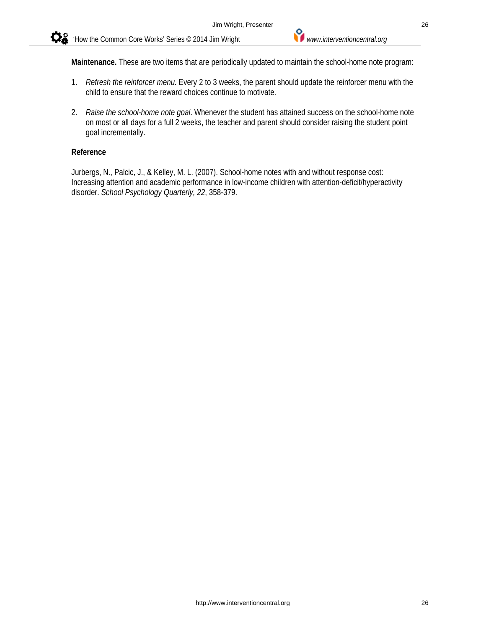

- 1. *Refresh the reinforcer menu.* Every 2 to 3 weeks, the parent should update the reinforcer menu with the child to ensure that the reward choices continue to motivate.
- 2. *Raise the school-home note goal*. Whenever the student has attained success on the school-home note on most or all days for a full 2 weeks, the teacher and parent should consider raising the student point goal incrementally.

#### **Reference**

Jurbergs, N., Palcic, J., & Kelley, M. L. (2007). School-home notes with and without response cost: Increasing attention and academic performance in low-income children with attention-deficit/hyperactivity disorder. *School Psychology Quarterly, 22*, 358-379.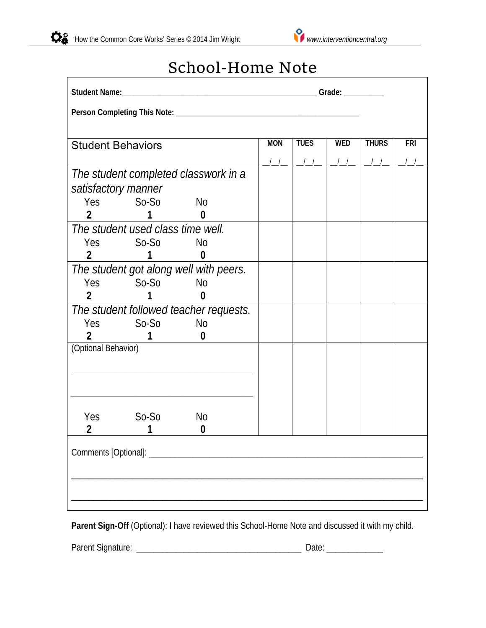

## School‐Home Note

| <b>Student Behaviors</b>                       | <b>MON</b> | <b>TUES</b> | <b>WED</b> | <b>THURS</b> | <b>FRI</b> |
|------------------------------------------------|------------|-------------|------------|--------------|------------|
|                                                |            |             |            |              |            |
| The student completed classwork in a           |            |             |            |              |            |
| satisfactory manner                            |            |             |            |              |            |
| Yes So-So No                                   |            |             |            |              |            |
| 2 <sup>7</sup><br>$\sim$ 1<br>$\boldsymbol{0}$ |            |             |            |              |            |
| The student used class time well.              |            |             |            |              |            |
| Yes So-So No                                   |            |             |            |              |            |
| 2                                              |            |             |            |              |            |
| The student got along well with peers.         |            |             |            |              |            |
| Yes So-So No                                   |            |             |            |              |            |
| $\overline{2}$<br>$1 \quad \Box$<br>$\bf{0}$   |            |             |            |              |            |
| The student followed teacher requests.         |            |             |            |              |            |
| <u>No</u><br>Yes So-So                         |            |             |            |              |            |
| $\boldsymbol{0}$<br>1                          |            |             |            |              |            |
| (Optional Behavior)                            |            |             |            |              |            |
|                                                |            |             |            |              |            |
|                                                |            |             |            |              |            |
|                                                |            |             |            |              |            |
|                                                |            |             |            |              |            |
| $So-So$<br>Yes<br>No                           |            |             |            |              |            |
| 2<br>0                                         |            |             |            |              |            |
|                                                |            |             |            |              |            |
|                                                |            |             |            |              |            |
|                                                |            |             |            |              |            |
|                                                |            |             |            |              |            |
|                                                |            |             |            |              |            |

Parent Sign-Off (Optional): I have reviewed this School-Home Note and discussed it with my child.

Parent Signature: \_\_\_\_\_\_\_\_\_\_\_\_\_\_\_\_\_\_\_\_\_\_\_\_\_\_\_\_\_\_\_\_\_\_\_\_\_\_ Date: \_\_\_\_\_\_\_\_\_\_\_\_\_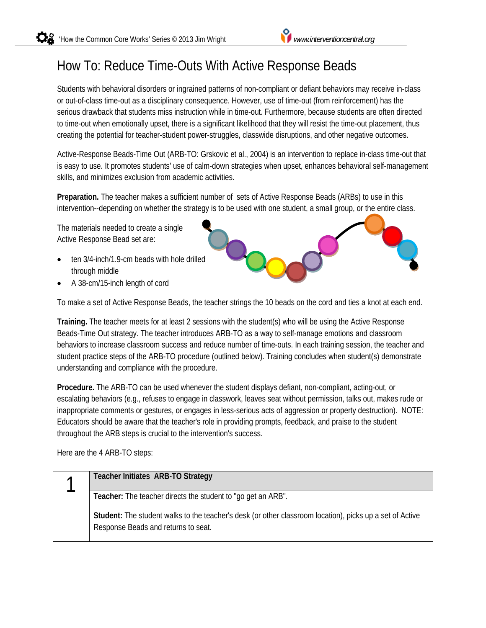## How To: Reduce Time-Outs With Active Response Beads

Students with behavioral disorders or ingrained patterns of non-compliant or defiant behaviors may receive in-class or out-of-class time-out as a disciplinary consequence. However, use of time-out (from reinforcement) has the serious drawback that students miss instruction while in time-out. Furthermore, because students are often directed to time-out when emotionally upset, there is a significant likelihood that they will resist the time-out placement, thus creating the potential for teacher-student power-struggles, classwide disruptions, and other negative outcomes.

Active-Response Beads-Time Out (ARB-TO: Grskovic et al., 2004) is an intervention to replace in-class time-out that is easy to use. It promotes students' use of calm-down strategies when upset, enhances behavioral self-management skills, and minimizes exclusion from academic activities.

**Preparation.** The teacher makes a sufficient number of sets of Active Response Beads (ARBs) to use in this intervention--depending on whether the strategy is to be used with one student, a small group, or the entire class.

The materials needed to create a single Active Response Bead set are:

- ten 3/4-inch/1.9-cm beads with hole drilled through middle
- A 38-cm/15-inch length of cord

To make a set of Active Response Beads, the teacher strings the 10 beads on the cord and ties a knot at each end.

**Training.** The teacher meets for at least 2 sessions with the student(s) who will be using the Active Response Beads-Time Out strategy. The teacher introduces ARB-TO as a way to self-manage emotions and classroom behaviors to increase classroom success and reduce number of time-outs. In each training session, the teacher and student practice steps of the ARB-TO procedure (outlined below). Training concludes when student(s) demonstrate understanding and compliance with the procedure.

**Procedure.** The ARB-TO can be used whenever the student displays defiant, non-compliant, acting-out, or escalating behaviors (e.g., refuses to engage in classwork, leaves seat without permission, talks out, makes rude or inappropriate comments or gestures, or engages in less-serious acts of aggression or property destruction). NOTE: Educators should be aware that the teacher's role in providing prompts, feedback, and praise to the student throughout the ARB steps is crucial to the intervention's success.

Here are the 4 ARB-TO steps:

| Teacher Initiates ARB-TO Strategy                                                                                                               |
|-------------------------------------------------------------------------------------------------------------------------------------------------|
| Teacher: The teacher directs the student to "go get an ARB".                                                                                    |
| Student: The student walks to the teacher's desk (or other classroom location), picks up a set of Active<br>Response Beads and returns to seat. |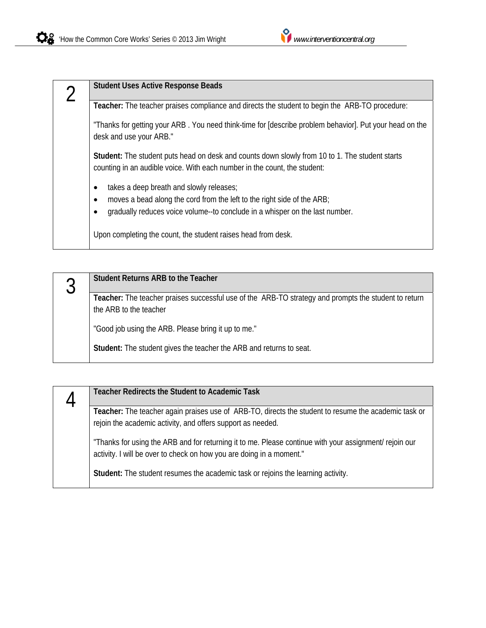| <b>Student Uses Active Response Beads</b>                                                                                                                                                                        |
|------------------------------------------------------------------------------------------------------------------------------------------------------------------------------------------------------------------|
| Teacher: The teacher praises compliance and directs the student to begin the ARB-TO procedure:                                                                                                                   |
| "Thanks for getting your ARB. You need think-time for [describe problem behavior]. Put your head on the<br>desk and use your ARB."                                                                               |
| Student: The student puts head on desk and counts down slowly from 10 to 1. The student starts<br>counting in an audible voice. With each number in the count, the student:                                      |
| takes a deep breath and slowly releases;<br>$\bullet$<br>moves a bead along the cord from the left to the right side of the ARB;<br>gradually reduces voice volume--to conclude in a whisper on the last number. |
| Upon completing the count, the student raises head from desk.                                                                                                                                                    |



| <b>Teacher Redirects the Student to Academic Task</b>                                                                                                                          |
|--------------------------------------------------------------------------------------------------------------------------------------------------------------------------------|
| Teacher: The teacher again praises use of ARB-TO, directs the student to resume the academic task or<br>rejoin the academic activity, and offers support as needed.            |
| "Thanks for using the ARB and for returning it to me. Please continue with your assignment/ rejoin our<br>activity. I will be over to check on how you are doing in a moment." |
| Student: The student resumes the academic task or rejoins the learning activity.                                                                                               |